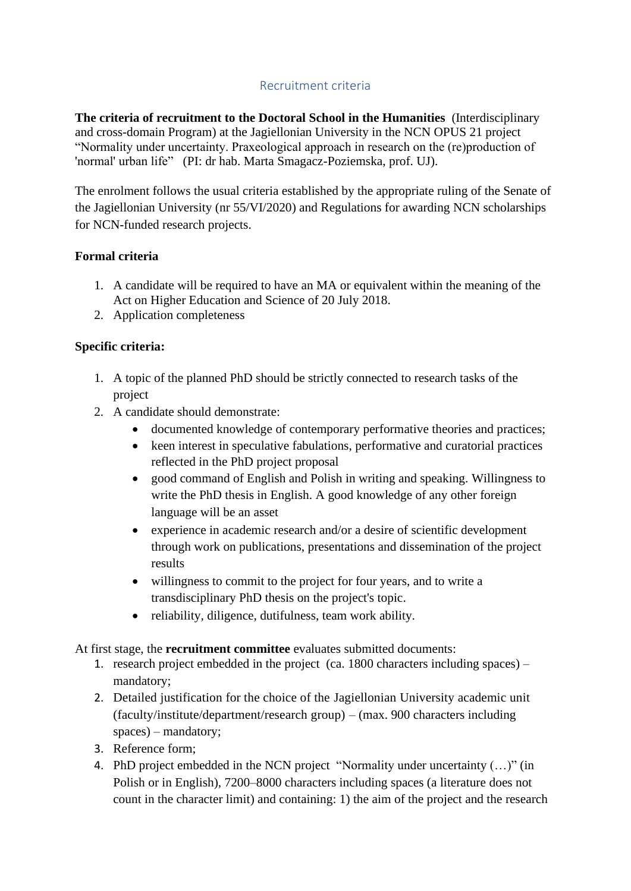## Recruitment criteria

**The criteria of recruitment to the Doctoral School in the Humanities** (Interdisciplinary and cross-domain Program) at the Jagiellonian University in the NCN OPUS 21 project "Normality under uncertainty. Praxeological approach in research on the (re)production of 'normal' urban life" (PI: dr hab. Marta Smagacz-Poziemska, prof. UJ).

The enrolment follows the usual criteria established by the appropriate ruling of the Senate of the Jagiellonian University (nr 55/VI/2020) and Regulations for awarding NCN scholarships for NCN-funded research projects.

## **Formal criteria**

- 1. A candidate will be required to have an MA or equivalent within the meaning of the Act on Higher Education and Science of 20 July 2018.
- 2. Application completeness

## **Specific criteria:**

- 1. A topic of the planned PhD should be strictly connected to research tasks of the project
- 2. A candidate should demonstrate:
	- documented knowledge of contemporary performative theories and practices;
	- keen interest in speculative fabulations, performative and curatorial practices reflected in the PhD project proposal
	- good command of English and Polish in writing and speaking. Willingness to write the PhD thesis in English. A good knowledge of any other foreign language will be an asset
	- experience in academic research and/or a desire of scientific development through work on publications, presentations and dissemination of the project results
	- willingness to commit to the project for four years, and to write a transdisciplinary PhD thesis on the project's topic.
	- reliability, diligence, dutifulness, team work ability.

At first stage, the **recruitment committee** evaluates submitted documents:

- 1. research project embedded in the project (ca. 1800 characters including spaces) mandatory;
- 2. Detailed justification for the choice of the Jagiellonian University academic unit (faculty/institute/department/research group) – (max. 900 characters including spaces) – mandatory;
- 3. Reference form;
- 4. PhD project embedded in the NCN project "Normality under uncertainty (…)" (in Polish or in English), 7200–8000 characters including spaces (a literature does not count in the character limit) and containing: 1) the aim of the project and the research